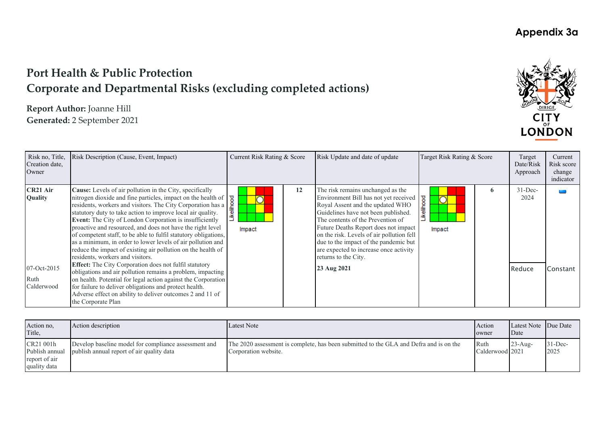# **Port Health & Public Protection Corporate and Departmental Risks (excluding completed actions)**

**Report Author:** Joanne Hill **Generated:** 2 September 2021



| Risk no, Title,<br>Creation date,<br>Owner                           | Risk Description (Cause, Event, Impact)                                                                                                                                                                                                                                                                                                                                                                                                                                                                                                                                                                                                                                                                                                                                                                                                                                                                                                                                                                      | Current Risk Rating & Score |    | Risk Update and date of update                                                                                                                                                                                                                                                                                                                                                                            | Target Risk Rating & Score                             |   | Target<br>Date/Risk<br>Approach | Current<br>Risk score<br>change<br>indicator |
|----------------------------------------------------------------------|--------------------------------------------------------------------------------------------------------------------------------------------------------------------------------------------------------------------------------------------------------------------------------------------------------------------------------------------------------------------------------------------------------------------------------------------------------------------------------------------------------------------------------------------------------------------------------------------------------------------------------------------------------------------------------------------------------------------------------------------------------------------------------------------------------------------------------------------------------------------------------------------------------------------------------------------------------------------------------------------------------------|-----------------------------|----|-----------------------------------------------------------------------------------------------------------------------------------------------------------------------------------------------------------------------------------------------------------------------------------------------------------------------------------------------------------------------------------------------------------|--------------------------------------------------------|---|---------------------------------|----------------------------------------------|
| CR <sub>21</sub> Air<br>Quality<br>07-Oct-2015<br>Ruth<br>Calderwood | Cause: Levels of air pollution in the City, specifically<br>nitrogen dioxide and fine particles, impact on the health of residents, workers and visitors. The City Corporation has a statutory duty to take action to improve local air quality.<br><b>Event:</b> The City of London Corporation<br>Event: The City of London Corporation is insufficiently<br>proactive and resourced, and does not have the right level<br>of competent staff, to be able to fulfil statutory obligations,<br>as a minimum, in order to lower levels of air pollution and<br>reduce the impact of existing air pollution on the health of<br>residents, workers and visitors.<br><b>Effect:</b> The City Corporation does not fulfil statutory<br>obligations and air pollution remains a problem, impacting<br>on health. Potential for legal action against the Corporation<br>for failure to deliver obligations and protect health.<br>Adverse effect on ability to deliver outcomes 2 and 11 of<br>the Corporate Plan | Impact                      | 12 | The risk remains unchanged as the<br>Environment Bill has not yet received<br>Royal Assent and the updated WHO<br>Guidelines have not been published.<br>The contents of the Prevention of<br>Future Deaths Report does not impact<br>on the risk. Levels of air pollution fell<br>due to the impact of the pandemic but<br>are expected to increase once activity<br>returns to the City.<br>23 Aug 2021 | <b>ikelihood</b><br>$\overline{\phantom{a}}$<br>Impact | 6 | $31 - Dec-$<br>2024<br>Reduce   | Constant                                     |
|                                                                      |                                                                                                                                                                                                                                                                                                                                                                                                                                                                                                                                                                                                                                                                                                                                                                                                                                                                                                                                                                                                              |                             |    |                                                                                                                                                                                                                                                                                                                                                                                                           |                                                        |   |                                 |                                              |

| Action no,<br>Title,                                         | Action description                                                                                | Latest Note                                                                                                    | Action<br>owner         | Latest Note Due Date<br><b>Date</b> |                    |
|--------------------------------------------------------------|---------------------------------------------------------------------------------------------------|----------------------------------------------------------------------------------------------------------------|-------------------------|-------------------------------------|--------------------|
| CR21 001h<br>Publish annual<br>report of air<br>quality data | Develop baseline model for compliance assessment and<br>publish annual report of air quality data | The 2020 assessment is complete, has been submitted to the GLA and Defra and is on the<br>Corporation website. | Ruth<br>Calderwood 2021 | $23 - Aug-$                         | $31$ -Dec-<br>2025 |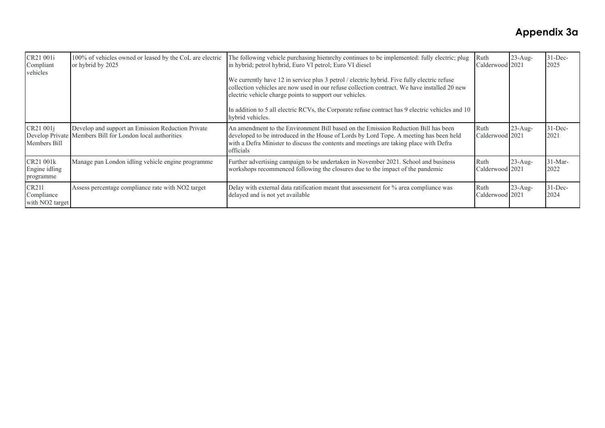| CR21 001i<br>Compliant<br>vehicles                 | 100% of vehicles owned or leased by the CoL are electric<br>or hybrid by 2025                                  | Ruth<br>The following vehicle purchasing hierarchy continues to be implemented: fully electric; plug<br>in hybrid; petrol hybrid, Euro VI petrol; Euro VI diesel                                                                                                                    |                         | $23$ -Aug-<br>Calderwood 2021 | $31 - Dec-$<br>2025 |
|----------------------------------------------------|----------------------------------------------------------------------------------------------------------------|-------------------------------------------------------------------------------------------------------------------------------------------------------------------------------------------------------------------------------------------------------------------------------------|-------------------------|-------------------------------|---------------------|
|                                                    |                                                                                                                | We currently have 12 in service plus 3 petrol / electric hybrid. Five fully electric refuse<br>collection vehicles are now used in our refuse collection contract. We have installed 20 new<br>electric vehicle charge points to support our vehicles.                              |                         |                               |                     |
|                                                    |                                                                                                                | In addition to 5 all electric RCVs, the Corporate refuse contract has 9 electric vehicles and 10<br>hybrid vehicles.                                                                                                                                                                |                         |                               |                     |
| CR21 001j<br>Members Bill                          | Develop and support an Emission Reduction Private<br>Develop Private Members Bill for London local authorities | An amendment to the Environment Bill based on the Emission Reduction Bill has been<br>developed to be introduced in the House of Lords by Lord Tope. A meeting has been held<br>with a Defra Minister to discuss the contents and meetings are taking place with Defra<br>officials | Ruth<br>Calderwood 2021 | $23$ -Aug-                    | $31$ -Dec-<br>2021  |
| CR21 001k<br>Engine idling<br>programme            | Manage pan London idling vehicle engine programme                                                              | Further advertising campaign to be undertaken in November 2021. School and business<br>workshops recommenced following the closures due to the impact of the pandemic                                                                                                               | Ruth<br>Calderwood 2021 | $23$ -Aug-                    | $31-Mar-$<br>2022   |
| CR211<br>Compliance<br>with NO <sub>2</sub> target | Assess percentage compliance rate with NO2 target                                                              | Delay with external data ratification meant that assessment for % area compliance was<br>delayed and is not yet available                                                                                                                                                           | Ruth<br>Calderwood 2021 | $23$ -Aug-                    | $31$ -Dec-<br>2024  |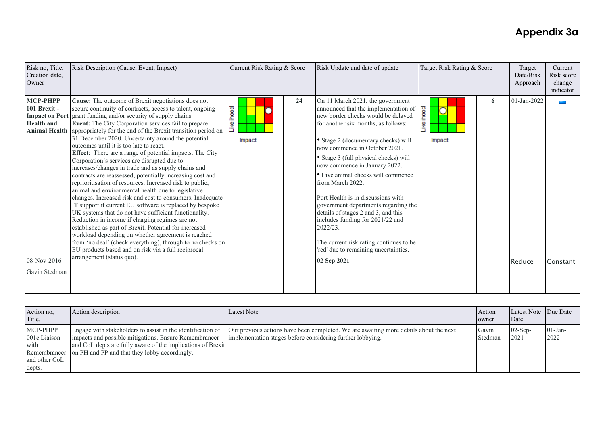| Risk no, Title,<br>Creation date,<br>Owner                                           | Risk Description (Cause, Event, Impact)                                                                                                                                                                                                                                                                                                                                                                                                                                                                                                                                                                                                                                                                                                                                                                                                                                                                                                                                                                                                                                                                                                                                                                                                                                          | Current Risk Rating & Score |    | Risk Update and date of update                                                                                                                                                                                                                                                                                                                                                                                                                                                                                                                                                                                                            | Target Risk Rating & Score |   | Target<br>Date/Risk<br>Approach | Current<br>Risk score<br>change<br>indicator |
|--------------------------------------------------------------------------------------|----------------------------------------------------------------------------------------------------------------------------------------------------------------------------------------------------------------------------------------------------------------------------------------------------------------------------------------------------------------------------------------------------------------------------------------------------------------------------------------------------------------------------------------------------------------------------------------------------------------------------------------------------------------------------------------------------------------------------------------------------------------------------------------------------------------------------------------------------------------------------------------------------------------------------------------------------------------------------------------------------------------------------------------------------------------------------------------------------------------------------------------------------------------------------------------------------------------------------------------------------------------------------------|-----------------------------|----|-------------------------------------------------------------------------------------------------------------------------------------------------------------------------------------------------------------------------------------------------------------------------------------------------------------------------------------------------------------------------------------------------------------------------------------------------------------------------------------------------------------------------------------------------------------------------------------------------------------------------------------------|----------------------------|---|---------------------------------|----------------------------------------------|
| <b>MCP-PHPP</b><br>001 Brexit -<br><b>Health</b> and<br>08-Nov-2016<br>Gavin Stedman | Cause: The outcome of Brexit negotiations does not<br>secure continuity of contracts, access to talent, ongoing<br>Impact on Port grant funding and/or security of supply chains.<br>Event: The City Corporation services fail to prepare<br>Animal Health appropriately for the end of the Brexit transition period on<br>31 December 2020. Uncertainty around the potential<br>outcomes until it is too late to react.<br>Effect: There are a range of potential impacts. The City<br>Corporation's services are disrupted due to<br>increases/changes in trade and as supply chains and<br>contracts are reassessed, potentially increasing cost and<br>reprioritisation of resources. Increased risk to public,<br>animal and environmental health due to legislative<br>changes. Increased risk and cost to consumers. Inadequate<br>IT support if current EU software is replaced by bespoke<br>UK systems that do not have sufficient functionality.<br>Reduction in income if charging regimes are not<br>established as part of Brexit. Potential for increased<br>workload depending on whether agreement is reached<br>from 'no deal' (check everything), through to no checks on<br>EU products based and on risk via a full reciprocal<br>arrangement (status quo). | ikelihood<br>Impact         | 24 | On 11 March 2021, the government<br>announced that the implementation of<br>new border checks would be delayed<br>for another six months, as follows:<br>• Stage 2 (documentary checks) will<br>now commence in October 2021.<br>• Stage 3 (full physical checks) will<br>now commence in January 2022.<br>• Live animal checks will commence<br>from March 2022.<br>Port Health is in discussions with<br>government departments regarding the<br>details of stages 2 and 3, and this<br>includes funding for 2021/22 and<br>2022/23.<br>The current risk rating continues to be<br>'red' due to remaining uncertainties.<br>02 Sep 2021 | Likelihood<br>Impact       | 6 | 01-Jan-2022<br>Reduce           | Constant                                     |

| Action no,<br>Title,                                        | Action description                                                                                                                                                                                                                                | Latest Note                                                                                                                                         | Action<br>owner  | Latest Note Due Date<br>Date |                    |
|-------------------------------------------------------------|---------------------------------------------------------------------------------------------------------------------------------------------------------------------------------------------------------------------------------------------------|-----------------------------------------------------------------------------------------------------------------------------------------------------|------------------|------------------------------|--------------------|
| MCP-PHPP<br>001c Liaison<br>with<br>and other CoL<br>depts. | Engage with stakeholders to assist in the identification of<br>impacts and possible mitigations. Ensure Remembrancer<br>and CoL depts are fully aware of the implications of Brexit<br>Remembrancer on PH and PP and that they lobby accordingly. | Our previous actions have been completed. We are awaiting more details about the next<br>implementation stages before considering further lobbying. | Gavin<br>Stedman | $02$ -Sep-<br>2021           | $01$ -Jan-<br>2022 |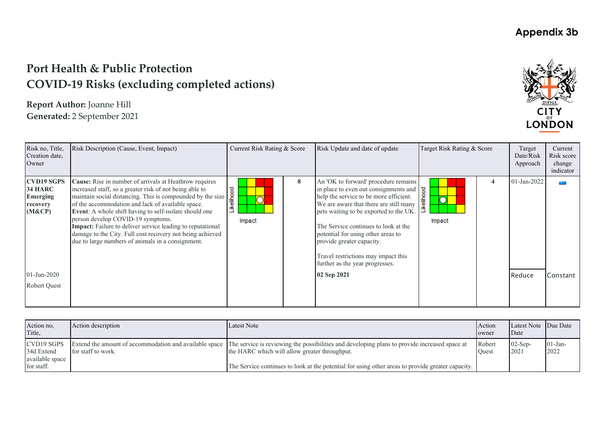## **Port Health & Public Protection COVID‐19 Risks (excluding completed actions)**

**Report Author:** Joanne Hill **Generated:** 2 September 2021



| Risk no, Title,<br>Creation date,<br>Owner                                                                            | Risk Description (Cause, Event, Impact)                                                                                                                                                                                                                                                                                                                                                                                                                                                                                    | Current Risk Rating & Score |   | Risk Update and date of update                                                                                                                                                                                                                                                                                                                                                                                  | Target Risk Rating & Score      | Target<br>Date/Risk<br>Approach | Current<br>Risk score<br>change<br>indicator |
|-----------------------------------------------------------------------------------------------------------------------|----------------------------------------------------------------------------------------------------------------------------------------------------------------------------------------------------------------------------------------------------------------------------------------------------------------------------------------------------------------------------------------------------------------------------------------------------------------------------------------------------------------------------|-----------------------------|---|-----------------------------------------------------------------------------------------------------------------------------------------------------------------------------------------------------------------------------------------------------------------------------------------------------------------------------------------------------------------------------------------------------------------|---------------------------------|---------------------------------|----------------------------------------------|
| <b>CVD19 SGPS</b><br><b>34 HARC</b><br><b>Emerging</b><br>recovery<br>(M&CP)<br>$01$ -Jun-2020<br><b>Robert Ouest</b> | Cause: Rise in number of arrivals at Heathrow requires<br>increased staff, so a greater risk of not being able to<br>maintain social distancing. This is compounded by the size<br>of the accommodation and lack of available space.<br>Event: A whole shift having to self-isolate should one<br>person develop COVID-19 symptoms.<br><b>Impact:</b> Failure to deliver service leading to reputational<br>damage to the City. Full cost recovery not being achieved<br>due to large numbers of animals in a consignment. | ikelihood<br>Impact         | 8 | An 'OK to forward' procedure remains<br>in place to even out consignments and<br>help the service to be more efficient.<br>We are aware that there are still many<br>pets waiting to be exported to the UK.<br>The Service continues to look at the<br>potential for using other areas to<br>provide greater capacity.<br>Travel restrictions may impact this<br>further as the year progresses.<br>02 Sep 2021 | ष्ठ<br>ikelihoo<br>IC<br>Impact | 01-Jan-2022<br>Reduce           | Constant                                     |
|                                                                                                                       |                                                                                                                                                                                                                                                                                                                                                                                                                                                                                                                            |                             |   |                                                                                                                                                                                                                                                                                                                                                                                                                 |                                 |                                 |                                              |

| Action no,<br>Title,                        | Action description | Latest Note                                                                                                                                                                                           | Action<br>owner | Latest Note Due Date<br>Date |                    |
|---------------------------------------------|--------------------|-------------------------------------------------------------------------------------------------------------------------------------------------------------------------------------------------------|-----------------|------------------------------|--------------------|
| CVD19 SGPS<br>34d Extend<br>available space | for staff to work. | Extend the amount of accommodation and available space The service is reviewing the possibilities and developing plans to provide increased space at<br>the HARC which will allow greater throughput. | Robert<br>Ouest | $02$ -Sep-<br>202            | $01$ -Jan-<br>2022 |
| for staff.                                  |                    | The Service continues to look at the potential for using other areas to provide greater capacity.                                                                                                     |                 |                              |                    |

#### **Appendix 3b**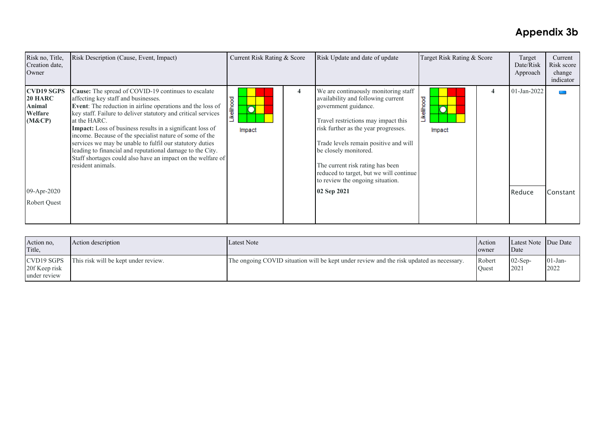| Risk no, Title,<br>Creation date,<br>Owner                                                 | Risk Description (Cause, Event, Impact)                                                                                                                                                                                                                                                                                                                                                                                                                                                                                                                                        | Current Risk Rating & Score                |   | Risk Update and date of update                                                                                                                                                                                                                                                                                                                                                        | Target Risk Rating & Score | Target<br>Date/Risk<br>Approach | Current<br>Risk score<br>change<br>indicator |
|--------------------------------------------------------------------------------------------|--------------------------------------------------------------------------------------------------------------------------------------------------------------------------------------------------------------------------------------------------------------------------------------------------------------------------------------------------------------------------------------------------------------------------------------------------------------------------------------------------------------------------------------------------------------------------------|--------------------------------------------|---|---------------------------------------------------------------------------------------------------------------------------------------------------------------------------------------------------------------------------------------------------------------------------------------------------------------------------------------------------------------------------------------|----------------------------|---------------------------------|----------------------------------------------|
| <b>CVD19 SGPS</b><br>20 HARC<br>Animal<br>Welfare<br>(M&CP)<br>09-Apr-2020<br>Robert Quest | Cause: The spread of COVID-19 continues to escalate<br>affecting key staff and businesses.<br>Event: The reduction in airline operations and the loss of<br>key staff. Failure to deliver statutory and critical services<br>at the HARC.<br>Impact: Loss of business results in a significant loss of<br>income. Because of the specialist nature of some of the<br>services we may be unable to fulfil our statutory duties<br>leading to financial and reputational damage to the City.<br>Staff shortages could also have an impact on the welfare of<br>resident animals. | Likelihood<br>$\overline{\rm O}$<br>Impact | 4 | We are continuously monitoring staff<br>availability and following current<br>government guidance.<br>Travel restrictions may impact this<br>risk further as the year progresses.<br>Trade levels remain positive and will<br>be closely monitored.<br>The current risk rating has been<br>reduced to target, but we will continue<br>to review the ongoing situation.<br>02 Sep 2021 | Likelihood<br>Ō<br>Impact  | 01-Jan-2022<br>Reduce           | Constant                                     |
|                                                                                            |                                                                                                                                                                                                                                                                                                                                                                                                                                                                                                                                                                                |                                            |   |                                                                                                                                                                                                                                                                                                                                                                                       |                            |                                 |                                              |

| Action no,<br>Title.                        | Action description                   | Latest Note                                                                              | Action<br>owner | Latest Note Due Date<br>Date |                    |
|---------------------------------------------|--------------------------------------|------------------------------------------------------------------------------------------|-----------------|------------------------------|--------------------|
| CVD19 SGPS<br>20f Keep risk<br>under review | This risk will be kept under review. | The ongoing COVID situation will be kept under review and the risk updated as necessary. | Robert<br>Ouest | $02$ -Sep-<br> 2021          | $01$ -Jan-<br>2022 |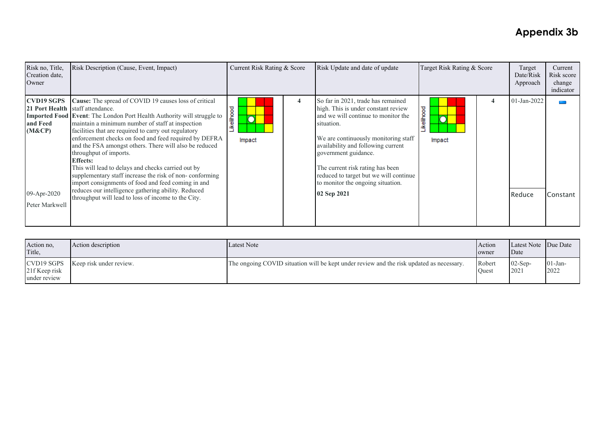| Risk no, Title,<br>Creation date,<br>Owner                               | Risk Description (Cause, Event, Impact)                                                                                                                                                                                                                                                                                                                                                                                                                                                                                                                                                                                                                                                                                                     | Current Risk Rating & Score |   | Risk Update and date of update                                                                                                                                                                                                                                                                                                                                         | Target Risk Rating & Score |   | Target<br>Date/Risk<br>Approach | Current<br>Risk score<br>change<br>indicator |
|--------------------------------------------------------------------------|---------------------------------------------------------------------------------------------------------------------------------------------------------------------------------------------------------------------------------------------------------------------------------------------------------------------------------------------------------------------------------------------------------------------------------------------------------------------------------------------------------------------------------------------------------------------------------------------------------------------------------------------------------------------------------------------------------------------------------------------|-----------------------------|---|------------------------------------------------------------------------------------------------------------------------------------------------------------------------------------------------------------------------------------------------------------------------------------------------------------------------------------------------------------------------|----------------------------|---|---------------------------------|----------------------------------------------|
| <b>CVD19 SGPS</b><br>and Feed<br>(M&CP)<br>09-Apr-2020<br>Peter Markwell | Cause: The spread of COVID 19 causes loss of critical<br>21 Port Health staff attendance.<br><b>Imported Food Event:</b> The London Port Health Authority will struggle to<br>maintain a minimum number of staff at inspection<br>facilities that are required to carry out regulatory<br>enforcement checks on food and feed required by DEFRA<br>and the FSA amongst others. There will also be reduced<br>throughput of imports.<br><b>Effects:</b><br>This will lead to delays and checks carried out by<br>supplementary staff increase the risk of non-conforming<br>import consignments of food and feed coming in and<br>reduces our intelligence gathering ability. Reduced<br>throughput will lead to loss of income to the City. | ikelihood<br>∩<br>Impact    | 4 | So far in 2021, trade has remained<br>high. This is under constant review<br>and we will continue to monitor the<br>situation.<br>We are continuously monitoring staff<br>availability and following current<br>government guidance.<br>The current risk rating has been<br>reduced to target but we will continue<br>to monitor the ongoing situation.<br>02 Sep 2021 | Likelihood<br>Impact       | 4 | 01-Jan-2022<br>Reduce           | Constant                                     |

| Action no,<br>Title,          | Action description                   | Latest Note                                                                              | Action<br>owner | Latest Note Due Date<br>Date |                   |
|-------------------------------|--------------------------------------|------------------------------------------------------------------------------------------|-----------------|------------------------------|-------------------|
| 21f Keep risk<br>under review | CVD19 SGPS   Keep risk under review. | The ongoing COVID situation will be kept under review and the risk updated as necessary. | Robert<br>Ouest | $02$ -Sep-<br>2021           | $01-Jan-$<br>2022 |